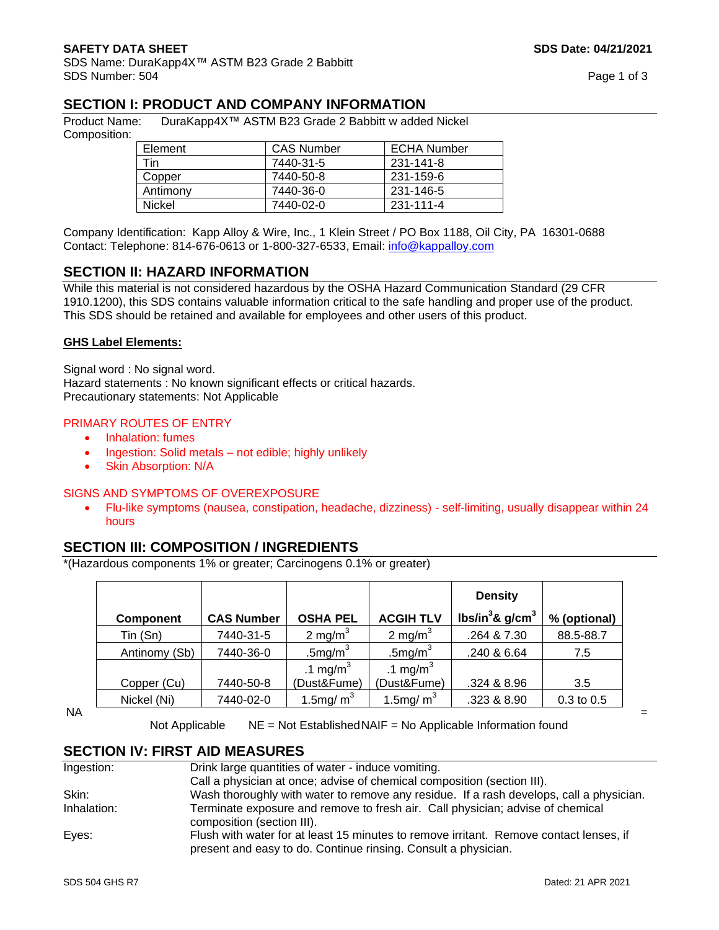SDS Name: DuraKapp4X™ ASTM B23 Grade 2 Babbitt SDS Number: 504 Page 1 of 3

# **SECTION I: PRODUCT AND COMPANY INFORMATION**

Product Name: DuraKapp4X™ ASTM B23 Grade 2 Babbitt w added Nickel Composition:

| Element  | <b>CAS Number</b> | <b>ECHA Number</b> |
|----------|-------------------|--------------------|
| Tin      | 7440-31-5         | 231-141-8          |
| Copper   | 7440-50-8         | 231-159-6          |
| Antimony | 7440-36-0         | 231-146-5          |
| Nickel   | 7440-02-0         | 231-111-4          |

Company Identification: Kapp Alloy & Wire, Inc., 1 Klein Street / PO Box 1188, Oil City, PA 16301-0688 Contact: Telephone: 814-676-0613 or 1-800-327-6533, Email: [info@kappalloy.com](mailto:info@kappalloy.com)

# **SECTION II: HAZARD INFORMATION**

While this material is not considered hazardous by the OSHA Hazard Communication Standard (29 CFR 1910.1200), this SDS contains valuable information critical to the safe handling and proper use of the product. This SDS should be retained and available for employees and other users of this product.

### **GHS Label Elements:**

Signal word : No signal word. Hazard statements : No known significant effects or critical hazards. Precautionary statements: Not Applicable

### PRIMARY ROUTES OF ENTRY

- Inhalation: fumes
- Ingestion: Solid metals not edible; highly unlikely
- Skin Absorption: N/A

### SIGNS AND SYMPTOMS OF OVEREXPOSURE

• Flu-like symptoms (nausea, constipation, headache, dizziness) - self-limiting, usually disappear within 24 hours

### **SECTION III: COMPOSITION / INGREDIENTS**

\*(Hazardous components 1% or greater; Carcinogens 0.1% or greater)

|                  |                   |                      |                      | <b>Density</b>                |              |
|------------------|-------------------|----------------------|----------------------|-------------------------------|--------------|
| <b>Component</b> | <b>CAS Number</b> | <b>OSHA PEL</b>      | <b>ACGIH TLV</b>     | lbs/in <sup>3</sup> & $q/cm3$ | % (optional) |
| Tin(Sn)          | 7440-31-5         | 2 mg/m $3$           | 2 mg/m $3$           | .264 & 7.30                   | 88.5-88.7    |
| Antinomy (Sb)    | 7440-36-0         | .5 $mg/m3$           | .5 $mg/m3$           | .240 & 6.64                   | 7.5          |
|                  |                   | .1 mg/m <sup>3</sup> | .1 mg/m <sup>3</sup> |                               |              |
| Copper (Cu)      | 7440-50-8         | (Dust&Fume)          | (Dust&Fume)          | .324 & 8.96                   | 3.5          |
| Nickel (Ni)      | 7440-02-0         | 1.5mg/ $m3$          | 1.5mg/ $m3$          | .323 & 8.90                   | 0.3 to 0.5   |

 $N_A$   $=$ 

Not Applicable NE = Not Established NAIF = No Applicable Information found

# **SECTION IV: FIRST AID MEASURES**

| Ingestion:  | Drink large quantities of water - induce vomiting.                                                                                                       |  |
|-------------|----------------------------------------------------------------------------------------------------------------------------------------------------------|--|
|             | Call a physician at once; advise of chemical composition (section III).                                                                                  |  |
| Skin:       | Wash thoroughly with water to remove any residue. If a rash develops, call a physician.                                                                  |  |
| Inhalation: | Terminate exposure and remove to fresh air. Call physician; advise of chemical<br>composition (section III).                                             |  |
| Eyes:       | Flush with water for at least 15 minutes to remove irritant. Remove contact lenses, if<br>present and easy to do. Continue rinsing. Consult a physician. |  |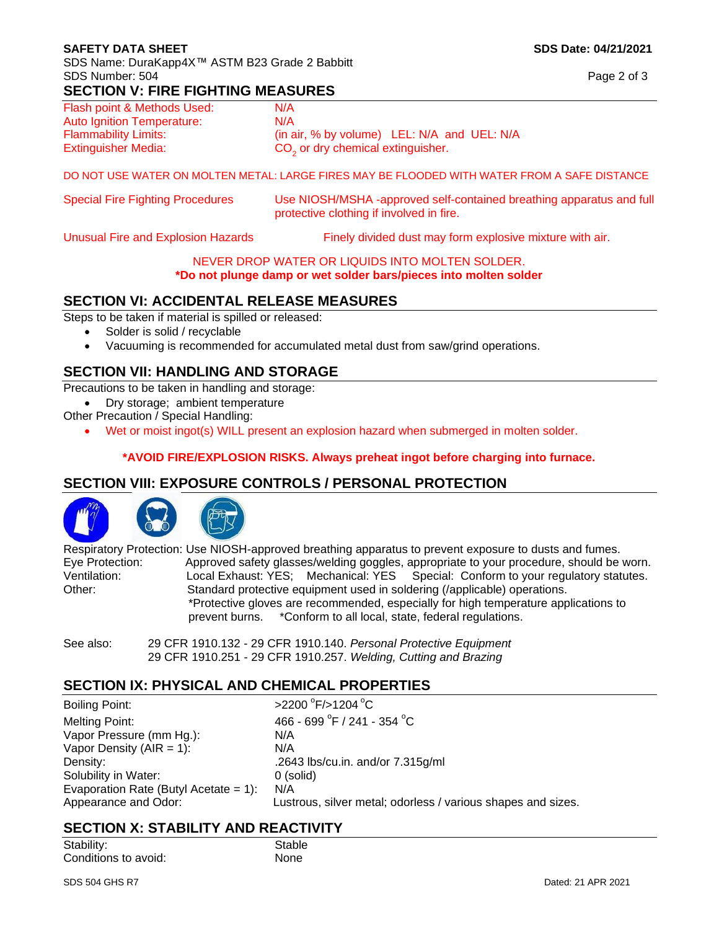### **SAFETY DATA SHEET SOLUTION SDS Date: 04/21/2021**

SDS Name: DuraKapp4X™ ASTM B23 Grade 2 Babbitt SDS Number: 504 Page 2 of 3

### **SECTION V: FIRE FIGHTING MEASURES**

| Flash point & Methods Used: | N/A                                           |  |
|-----------------------------|-----------------------------------------------|--|
| Auto Ignition Temperature:  | N/A                                           |  |
| <b>Flammability Limits:</b> | (in air, % by volume) LEL: N/A and UEL: N/A   |  |
| <b>Extinguisher Media:</b>  | CO <sub>2</sub> or dry chemical extinguisher. |  |

### DO NOT USE WATER ON MOLTEN METAL: LARGE FIRES MAY BE FLOODED WITH WATER FROM A SAFE DISTANCE

| <b>Special Fire Fighting Procedures</b> | Use NIOSH/MSHA -approved self-contained breathing apparatus and full<br>protective clothing if involved in fire. |
|-----------------------------------------|------------------------------------------------------------------------------------------------------------------|
|                                         |                                                                                                                  |

Unusual Fire and Explosion Hazards Finely divided dust may form explosive mixture with air.

### NEVER DROP WATER OR LIQUIDS INTO MOLTEN SOLDER.

**\*Do not plunge damp or wet solder bars/pieces into molten solder**

# **SECTION VI: ACCIDENTAL RELEASE MEASURES**

Steps to be taken if material is spilled or released:

- Solder is solid / recyclable
- Vacuuming is recommended for accumulated metal dust from saw/grind operations.

# **SECTION VII: HANDLING AND STORAGE**

Precautions to be taken in handling and storage:

- Dry storage; ambient temperature
- Other Precaution / Special Handling:
	- Wet or moist ingot(s) WILL present an explosion hazard when submerged in molten solder.

### **\*AVOID FIRE/EXPLOSION RISKS. Always preheat ingot before charging into furnace.**

# **SECTION VIII: EXPOSURE CONTROLS / PERSONAL PROTECTION**



Respiratory Protection: Use NIOSH-approved breathing apparatus to prevent exposure to dusts and fumes. Eye Protection: Approved safety glasses/welding goggles, appropriate to your procedure, should be worn. Ventilation: Local Exhaust: YES; Mechanical: YES Special: Conform to your regulatory statutes. Other: Standard protective equipment used in soldering (/applicable) operations. \*Protective gloves are recommended, especially for high temperature applications to prevent burns. \*Conform to all local, state, federal regulations.

 $F$ />1204 $^{\circ}$ C

See also: 29 CFR 1910.132 - 29 CFR 1910.140. *Personal Protective Equipment* 29 CFR 1910.251 - 29 CFR 1910.257. *Welding, Cutting and Brazing*

# **SECTION IX: PHYSICAL AND CHEMICAL PROPERTIES**

Boiling Point: Melting Point: Vapor Pressure (mm Hg.): N/A Vapor Density  $(AIR = 1)$ :  $N/A$ Density: .2643 lbs/cu.in. and/or 7.315g/ml Solubility in Water: 0 (solid) Evaporation Rate (Butyl Acetate = 1): N/A

 $F / 241 - 354 °C$ Appearance and Odor: Lustrous, silver metal; odorless / various shapes and sizes.

# **SECTION X: STABILITY AND REACTIVITY**

Stability: Stable Conditions to avoid: None